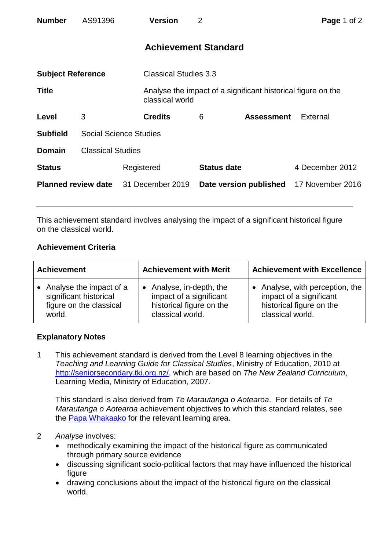| <b>Number</b>              | AS91396                       |                  | <b>Version</b>               | 2                  |                                                              | Page 1 of 2     |  |
|----------------------------|-------------------------------|------------------|------------------------------|--------------------|--------------------------------------------------------------|-----------------|--|
|                            |                               |                  | <b>Achievement Standard</b>  |                    |                                                              |                 |  |
| <b>Subject Reference</b>   |                               |                  | <b>Classical Studies 3.3</b> |                    |                                                              |                 |  |
| <b>Title</b>               |                               |                  | classical world              |                    | Analyse the impact of a significant historical figure on the |                 |  |
| Level                      | 3                             |                  | <b>Credits</b>               | 6                  | <b>Assessment</b>                                            | External        |  |
| <b>Subfield</b>            | <b>Social Science Studies</b> |                  |                              |                    |                                                              |                 |  |
| <b>Domain</b>              | <b>Classical Studies</b>      |                  |                              |                    |                                                              |                 |  |
| <b>Status</b>              |                               | Registered       |                              | <b>Status date</b> |                                                              | 4 December 2012 |  |
| <b>Planned review date</b> |                               | 31 December 2019 |                              |                    | Date version published 17 November 2016                      |                 |  |

This achievement standard involves analysing the impact of a significant historical figure on the classical world.

# **Achievement Criteria**

| <b>Achievement</b>        | <b>Achievement with Merit</b> | <b>Achievement with Excellence</b> |  |
|---------------------------|-------------------------------|------------------------------------|--|
| • Analyse the impact of a | • Analyse, in-depth, the      | Analyse, with perception, the      |  |
| significant historical    | impact of a significant       | impact of a significant            |  |
| figure on the classical   | historical figure on the      | historical figure on the           |  |
| world.                    | classical world.              | classical world.                   |  |

# **Explanatory Notes**

1 This achievement standard is derived from the Level 8 learning objectives in the *Teaching and Learning Guide for Classical Studies*, Ministry of Education, 2010 at [http://seniorsecondary.tki.org.nz/,](http://seniorsecondary.tki.org.nz/) which are based on *The New Zealand Curriculum*, Learning Media, Ministry of Education, 2007.

This standard is also derived from *Te Marautanga o Aotearoa*. For details of *Te Marautanga o Aotearoa* achievement objectives to which this standard relates, see the [Papa Whakaako](http://tmoa.tki.org.nz/Te-Marautanga-o-Aotearoa/Taumata-Matauranga-a-Motu-Ka-Taea) for the relevant learning area.

# 2 *Analyse* involves:

- methodically examining the impact of the historical figure as communicated through primary source evidence
- discussing significant socio-political factors that may have influenced the historical figure
- drawing conclusions about the impact of the historical figure on the classical world.